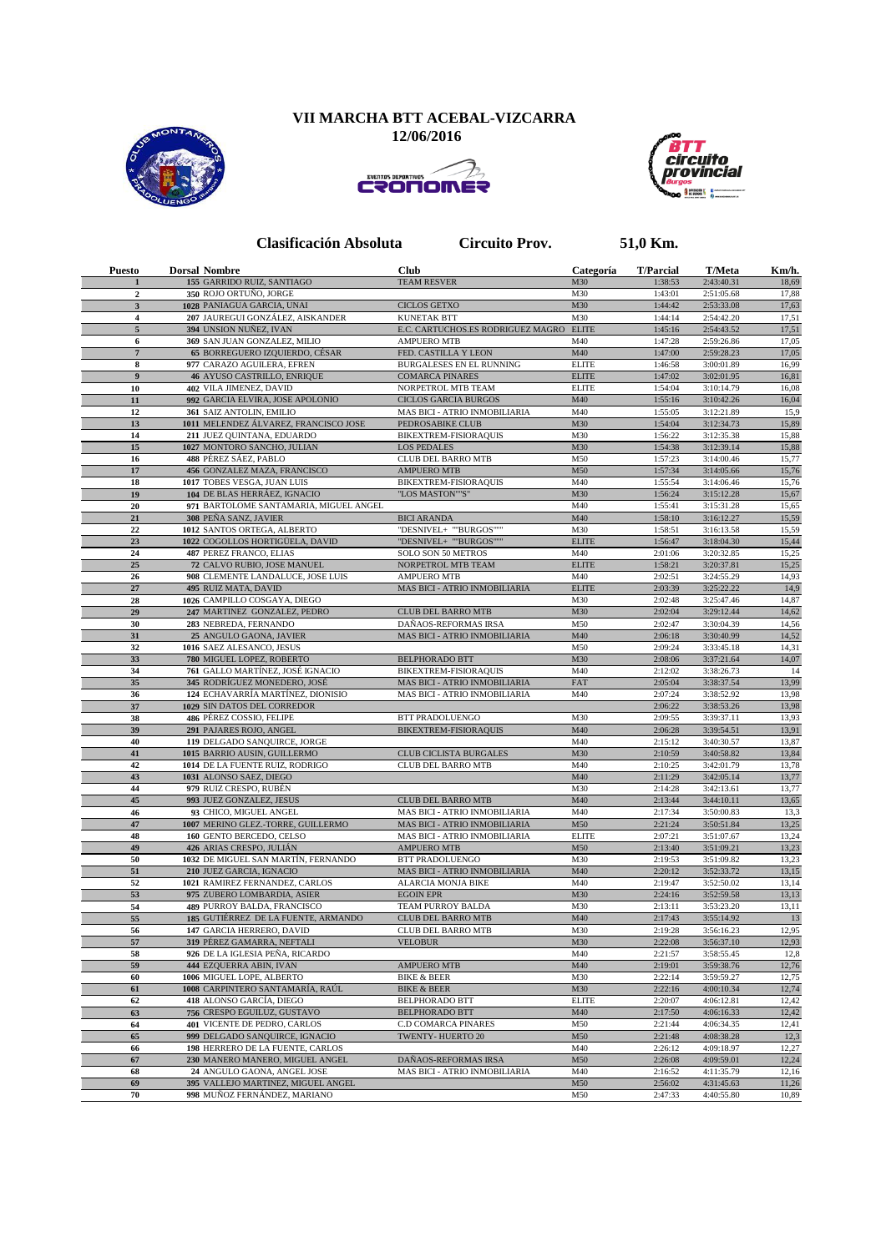## **VII MARCHA BTT ACEBAL-VIZCARRA**

 **12/06/2016**







**Clasificación Absoluta Circuito Prov. 51,0 Km.**

| <b>Puesto</b>           | <b>Dorsal Nombre</b>                                       | <b>Club</b>                                                   | Categoría    | <b>T/Parcial</b>   | <b>T/Meta</b>            | Km/h.          |
|-------------------------|------------------------------------------------------------|---------------------------------------------------------------|--------------|--------------------|--------------------------|----------------|
| 1                       | 155 GARRIDO RUIZ, SANTIAGO                                 | <b>TEAM RESVER</b>                                            | M30          | 1:38:53            | 2:43:40.31               | 18,69          |
| $\mathbf{2}$            | 350 ROJO ORTUÑO, JORGE                                     |                                                               | M30          | 1:43:01            | 2:51:05.68               | 17,88          |
| $\mathbf{3}$            | 1028 PANIAGUA GARCIA, UNAI                                 | <b>CICLOS GETXO</b>                                           | M30          | 1:44:42            | 2:53:33.08               | 17,63          |
| $\overline{\mathbf{4}}$ | 207 JAUREGUI GONZÁLEZ, AISKANDER                           | <b>KUNETAK BTT</b>                                            | M30          | 1:44:14            | 2:54:42.20               | 17,51          |
| 5<br>6                  | 394 UNSION NUÑEZ, IVAN<br>369 SAN JUAN GONZALEZ, MILIO     | E.C. CARTUCHOS.ES RODRIGUEZ MAGRO ELITE<br><b>AMPUERO MTB</b> | M40          | 1:45:16<br>1:47:28 | 2:54:43.52<br>2:59:26.86 | 17,51<br>17,05 |
| $\overline{7}$          | 65 BORREGUERO IZQUIERDO, CÉSAR                             | FED. CASTILLA Y LEON                                          | M40          | 1:47:00            | 2:59:28.23               | 17,05          |
| 8                       | 977 CARAZO AGUILERA, EFREN                                 | BURGALESES EN EL RUNNING                                      | <b>ELITE</b> | 1:46:58            | 3:00:01.89               | 16,99          |
| 9                       | 46 AYUSO CASTRILLO, ENRIQUE                                | <b>COMARCA PINARES</b>                                        | <b>ELITE</b> | 1:47:02            | 3:02:01.95               | 16,81          |
| 10                      | 402 VILA JIMENEZ, DAVID                                    | NORPETROL MTB TEAM                                            | <b>ELITE</b> | 1:54:04            | 3:10:14.79               | 16,08          |
| 11                      | 992 GARCIA ELVIRA, JOSE APOLONIO                           | <b>CICLOS GARCIA BURGOS</b>                                   | M40          | 1:55:16            | 3:10:42.26               | 16,04          |
| 12                      | 361 SAIZ ANTOLIN, EMILIO                                   | MAS BICI - ATRIO INMOBILIARIA                                 | M40          | 1:55:05            | 3:12:21.89               | 15,9           |
| 13                      | 1011 MELENDEZ ÁLVAREZ, FRANCISCO JOSE                      | PEDROSABIKE CLUB                                              | M30          | 1:54:04            | 3:12:34.73               | 15,89          |
| 14                      | 211 JUEZ QUINTANA, EDUARDO                                 | BIKEXTREM-FISIORAQUIS                                         | M30          | 1:56:22            | 3:12:35.38               | 15,88          |
| 15                      | 1027 MONTORO SANCHO, JULIAN                                | <b>LOS PEDALES</b>                                            | M30          | 1:54:38            | 3:12:39.14               | 15,88          |
| 16                      | 488 PÉREZ SÁEZ, PABLO                                      | <b>CLUB DEL BARRO MTB</b>                                     | M50          | 1:57:23            | 3:14:00.46               | 15,77          |
| 17                      | 456 GONZALEZ MAZA, FRANCISCO                               | <b>AMPUERO MTB</b>                                            | M50          | 1:57:34            | 3:14:05.66               | 15,76          |
| 18                      | 1017 TOBES VESGA, JUAN LUIS                                | BIKEXTREM-FISIORAQUIS                                         | M40          | 1:55:54            | 3:14:06.46               | 15,76          |
| 19                      | 104 DE BLAS HERRÁEZ, IGNACIO                               | "LOS MASTON""S"                                               | M30          | 1:56:24            | 3:15:12.28               | 15,67          |
| 20                      | 971 BARTOLOME SANTAMARIA, MIGUEL ANGEL                     |                                                               | M40          | 1:55:41            | 3:15:31.28               | 15,65          |
| 21                      | 308 PEÑA SANZ, JAVIER                                      | <b>BICI ARANDA</b>                                            | M40          | 1:58:10            | 3:16:12.27               | 15,59          |
| 22                      | 1012 SANTOS ORTEGA, ALBERTO                                | "DESNIVEL+ ""BURGOS""'                                        | M30          | 1:58:51            | 3:16:13.58               | 15,59          |
| 23                      | 1022 COGOLLOS HORTIGÜELA, DAVID                            | "DESNIVEL+ ""BURGOS"""                                        | <b>ELITE</b> | 1:56:47            | 3:18:04.30               | 15,44          |
| 24                      | 487 PEREZ FRANCO, ELIAS                                    | SOLO SON 50 METROS                                            | M40          | 2:01:06            | 3:20:32.85               | 15,25          |
| 25                      | 72 CALVO RUBIO, JOSE MANUEL                                | NORPETROL MTB TEAM                                            | <b>ELITE</b> | 1:58:21            | 3:20:37.81               | 15,25          |
| 26                      | 908 CLEMENTE LANDALUCE, JOSE LUIS                          | <b>AMPUERO MTB</b>                                            | M40          | 2:02:51            | 3:24:55.29               | 14,93          |
| $27\,$                  | 495 RUIZ MATA, DAVID                                       | MAS BICI - ATRIO INMOBILIARIA                                 | <b>ELITE</b> | 2:03:39            | 3:25:22.22               | 14,9           |
| 28                      | 1026 CAMPILLO COSGAYA, DIEGO                               |                                                               | M30          | 2:02:48            | 3:25:47.46               | 14,87          |
| 29<br>30                | 247 MARTINEZ GONZALEZ, PEDRO<br>283 NEBREDA, FERNANDO      | <b>CLUB DEL BARRO MTB</b><br>DAÑAOS-REFORMAS IRSA             | M30<br>M50   | 2:02:04            | 3:29:12.44<br>3:30:04.39 | 14,62<br>14,56 |
| 31                      | 25 ANGULO GAONA, JAVIER                                    | MAS BICI - ATRIO INMOBILIARIA                                 | M40          | 2:02:47<br>2:06:18 | 3:30:40.99               | 14,52          |
| 32                      | 1016 SAEZ ALESANCO, JESUS                                  |                                                               | M50          | 2:09:24            | 3:33:45.18               | 14,31          |
| 33                      | 780 MIGUEL LOPEZ, ROBERTO                                  | <b>BELPHORADO BTT</b>                                         | M30          | 2:08:06            | 3:37:21.64               | 14,07          |
| 34                      | 761 GALLO MARTÍNEZ, JOSÉ IGNACIO                           | BIKEXTREM-FISIORAQUIS                                         | M40          | 2:12:02            | 3:38:26.73               | 14             |
| 35                      | 345 RODRÍGUEZ MONEDERO, JOSÉ                               | MAS BICI - ATRIO INMOBILIARIA                                 | FAT          | 2:05:04            | 3:38:37.54               | 13,99          |
| 36                      | 124 ECHAVARRÍA MARTÍNEZ, DIONISIO                          | MAS BICI - ATRIO INMOBILIARIA                                 | M40          | 2:07:24            | 3:38:52.92               | 13,98          |
| 37                      | 1029 SIN DATOS DEL CORREDOR                                |                                                               |              | 2:06:22            | 3:38:53.26               | 13,98          |
| 38                      | 486 PÉREZ COSSIO, FELIPE                                   | <b>BTT PRADOLUENGO</b>                                        | M30          | 2:09:55            | 3:39:37.11               | 13,93          |
| 39                      | 291 PAJARES ROJO, ANGEL                                    | BIKEXTREM-FISIORAQUIS                                         | M40          | 2:06:28            | 3:39:54.51               | 13,91          |
| 40                      | 119 DELGADO SANQUIRCE, JORGE                               |                                                               | M40          | 2:15:12            | 3:40:30.57               | 13,87          |
| 41                      | 1015 BARRIO AUSIN, GUILLERMO                               | CLUB CICLISTA BURGALES                                        | M30          | 2:10:59            | 3:40:58.82               | 13,84          |
| 42                      | 1014 DE LA FUENTE RUIZ, RODRIGO                            | CLUB DEL BARRO MTB                                            | M40          | 2:10:25            | 3:42:01.79               | 13,78          |
| 43                      | 1031 ALONSO SAEZ, DIEGO                                    |                                                               | M40          | 2:11:29            | 3:42:05.14               | 13,77          |
| 44                      | 979 RUIZ CRESPO, RUBÉN                                     |                                                               | M30          | 2:14:28            | 3:42:13.61               | 13,77          |
| 45                      | 993 JUEZ GONZALEZ, JESUS                                   | <b>CLUB DEL BARRO MTB</b>                                     | M40          | 2:13:44            | 3:44:10.11               | 13,65          |
| 46                      | 93 CHICO, MIGUEL ANGEL                                     | MAS BICI - ATRIO INMOBILIARIA                                 | M40          | 2:17:34            | 3:50:00.83               | 13,3           |
| 47                      | 1007 MERINO GLEZ.-TORRE, GUILLERMO                         | MAS BICI - ATRIO INMOBILIARIA                                 | M50          | 2:21:24            | 3:50:51.84               | 13,25          |
| 48                      | 160 GENTO BERCEDO, CELSO                                   | MAS BICI - ATRIO INMOBILIARIA                                 | <b>ELITE</b> | 2:07:21            | 3:51:07.67               | 13,24          |
| 49                      | 426 ARIAS CRESPO, JULIÁN                                   | <b>AMPUERO MTB</b>                                            | M50          | 2:13:40            | 3:51:09.21               | 13,23          |
| 50                      | 1032 DE MIGUEL SAN MARTÍN, FERNANDO                        | BTT PRADOLUENGO                                               | M30          | 2:19:53            | 3:51:09.82               | 13,23          |
| 51<br>52                | 210 JUEZ GARCIA, IGNACIO<br>1021 RAMIREZ FERNANDEZ, CARLOS | MAS BICI - ATRIO INMOBILIARIA<br><b>ALARCIA MONJA BIKE</b>    | M40<br>M40   | 2:20:12<br>2:19:47 | 3:52:33.72<br>3:52:50.02 | 13,15<br>13,14 |
| 53                      |                                                            |                                                               |              |                    | 3:52:59.58               |                |
| 54                      | 975 ZUBERO LOMBARDIA, ASIER<br>489 PURROY BALDA, FRANCISCO | <b>EGOIN EPR</b><br>TEAM PURROY BALDA                         | M30<br>M30   | 2:24:16<br>2:13:11 | 3:53:23.20               | 13,13<br>13,11 |
| 55                      | 185 GUTIÉRREZ DE LA FUENTE, ARMANDO                        | <b>CLUB DEL BARRO MTB</b>                                     | M40          | 2:17:43            | 3:55:14.92               | 13             |
| 56                      | <b>147 GARCIA HERRERO, DAVID</b>                           | <b>CLUB DEL BARRO MTB</b>                                     | M30          | 2:19:28            | 3:56:16.23               | 12.95          |
| 57                      | 319 PÉREZ GAMARRA, NEFTALI                                 | <b>VELOBUR</b>                                                | M30          | 2:22:08            | 3:56:37.10               | 12,93          |
| 58                      | 926 DE LA IGLESIA PEÑA, RICARDO                            |                                                               | M40          | 2:21:57            | 3:58:55.45               | 12,8           |
| 59                      | 444 EZQUERRA ABIN, IVAN                                    | AMPUERO MTB                                                   | M40          | 2:19:01            | 3:59:38.76               | 12,76          |
| 60                      | 1006 MIGUEL LOPE, ALBERTO                                  | <b>BIKE &amp; BEER</b>                                        | M30          | 2:22:14            | 3:59:59.27               | 12,75          |
| 61                      | 1008 CARPINTERO SANTAMARÍA, RAÚL                           | <b>BIKE &amp; BEER</b>                                        | M30          | 2:22:16            | 4:00:10.34               | 12,74          |
| 62                      | 418 ALONSO GARCÍA, DIEGO                                   | <b>BELPHORADO BTT</b>                                         | <b>ELITE</b> | 2:20:07            | 4:06:12.81               | 12,42          |
| 63                      | 756 CRESPO EGUILUZ, GUSTAVO                                | <b>BELPHORADO BTT</b>                                         | M40          | 2:17:50            | 4:06:16.33               | 12,42          |
| 64                      | 401 VICENTE DE PEDRO, CARLOS                               | C.D COMARCA PINARES                                           | M50          | 2:21:44            | 4:06:34.35               | 12,41          |
| 65                      | 999 DELGADO SANQUIRCE, IGNACIO                             | TWENTY-HUERTO 20                                              | M50          | 2:21:48            | 4:08:38.28               | 12,3           |
| 66                      | 198 HERRERO DE LA FUENTE, CARLOS                           |                                                               | M40          | 2:26:12            | 4:09:18.97               | 12,27          |
| 67                      | 230 MANERO MANERO, MIGUEL ANGEL                            | DAÑAOS-REFORMAS IRSA                                          | M50          | 2:26:08            | 4:09:59.01               | 12,24          |
| 68                      | 24 ANGULO GAONA, ANGEL JOSE                                | MAS BICI - ATRIO INMOBILIARIA                                 | M40          | 2:16:52            | 4:11:35.79               | 12,16          |
| 69                      | 395 VALLEJO MARTINEZ, MIGUEL ANGEL                         |                                                               | M50          | 2:56:02            | 4:31:45.63               | 11,26          |
| 70                      | 998 MUÑOZ FERNÁNDEZ, MARIANO                               |                                                               | M50          | 2:47:33            | 4:40:55.80               | 10,89          |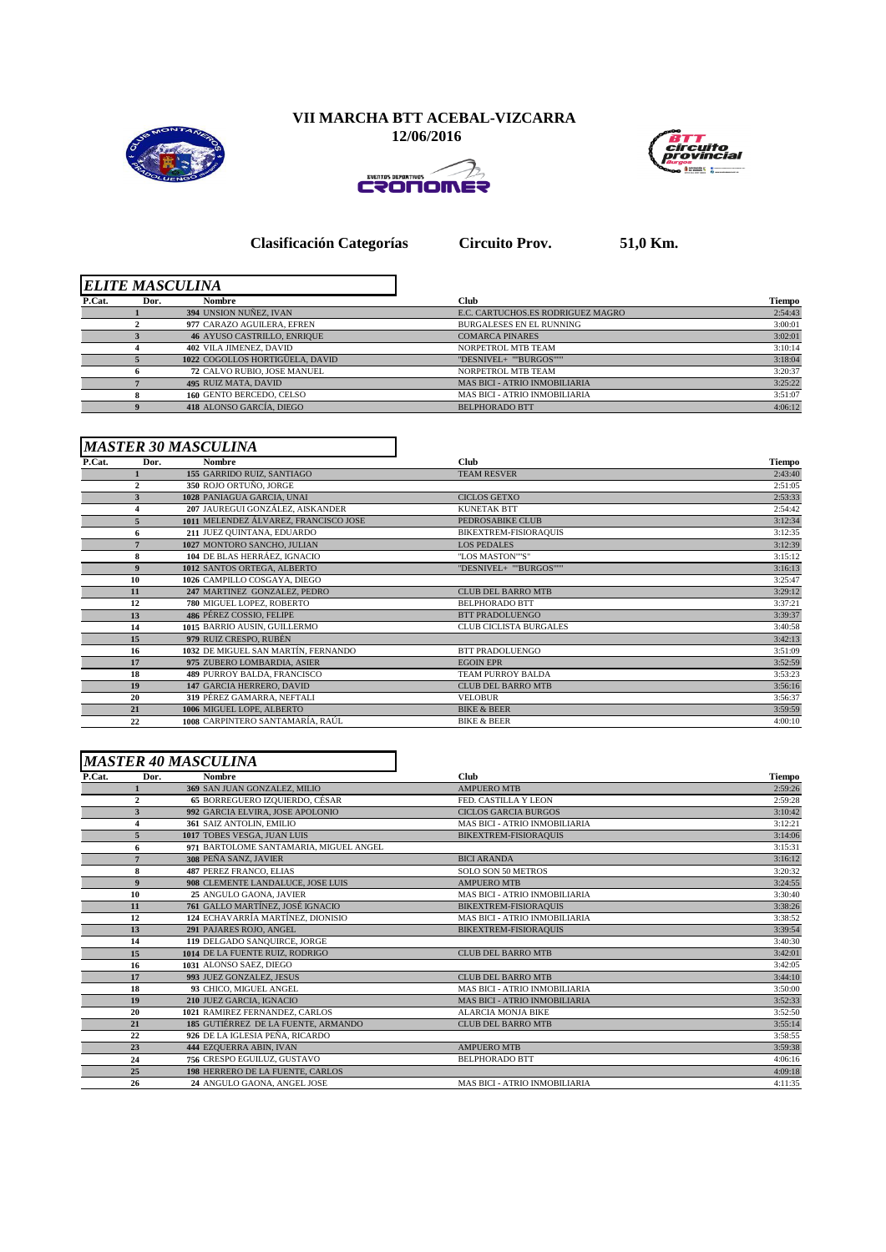



ERONOMER



**Clasificación Categorías Circuito Prov. 51,0 Km.**

|        |      | <b>ELITE MASCULINA</b>             |                                      |               |
|--------|------|------------------------------------|--------------------------------------|---------------|
| P.Cat. | Dor. | Nombre                             | Club                                 | <b>Tiempo</b> |
|        |      | 394 UNSION NUÑEZ, IVAN             | E.C. CARTUCHOS.ES RODRIGUEZ MAGRO    | 2:54:43       |
|        |      | 977 CARAZO AGUILERA, EFREN         | <b>BURGALESES EN EL RUNNING</b>      | 3:00:01       |
|        |      | <b>46 AYUSO CASTRILLO, ENRIQUE</b> | <b>COMARCA PINARES</b>               | 3:02:01       |
|        |      | 402 VILA JIMENEZ, DAVID            | NORPETROL MTB TEAM                   | 3:10:14       |
|        |      | 1022 COGOLLOS HORTIGÜELA, DAVID    | "DESNIVEL+ ""BURGOS"""               | 3:18:04       |
|        |      | 72 CALVO RUBIO, JOSE MANUEL        | NORPETROL MTB TEAM                   | 3:20:37       |
|        |      | <b>495 RUIZ MATA, DAVID</b>        | <b>MAS BICI - ATRIO INMOBILIARIA</b> | 3:25:22       |
|        |      | 160 GENTO BERCEDO, CELSO           | <b>MAS BICI - ATRIO INMOBILIARIA</b> | 3:51:07       |
|        |      | 418 ALONSO GARCÍA. DIEGO           | <b>BELPHORADO BTT</b>                | 4:06:12       |
|        |      |                                    |                                      |               |

## *MASTER 30 MASCULINA*

| P.Cat. | Dor.           | Nombre                                | <b>Club</b>                   | Tiempo  |
|--------|----------------|---------------------------------------|-------------------------------|---------|
|        |                | 155 GARRIDO RUIZ, SANTIAGO            | <b>TEAM RESVER</b>            | 2:43:40 |
|        | $\overline{c}$ | 350 ROJO ORTUÑO, JORGE                |                               | 2:51:05 |
|        | 3              | 1028 PANIAGUA GARCIA, UNAI            | <b>CICLOS GETXO</b>           | 2:53:33 |
|        |                | 207 JAUREGUI GONZÁLEZ, AISKANDER      | <b>KUNETAK BTT</b>            | 2:54:42 |
|        |                | 1011 MELENDEZ ÁLVAREZ, FRANCISCO JOSE | PEDROSABIKE CLUB              | 3:12:34 |
|        | 6.             | 211 JUEZ QUINTANA, EDUARDO            | BIKEXTREM-FISIORAQUIS         | 3:12:35 |
|        |                | 1027 MONTORO SANCHO, JULIAN           | <b>LOS PEDALES</b>            | 3:12:39 |
|        | 8              | 104 DE BLAS HERRÁEZ, IGNACIO          | "LOS MASTON""S"               | 3:15:12 |
|        | 9              | 1012 SANTOS ORTEGA, ALBERTO           | "DESNIVEL+ ""BURGOS"""        | 3:16:13 |
|        | 10             | 1026 CAMPILLO COSGAYA, DIEGO          |                               | 3:25:47 |
|        | 11             | 247 MARTINEZ GONZALEZ, PEDRO          | <b>CLUB DEL BARRO MTB</b>     | 3:29:12 |
|        | 12             | 780 MIGUEL LOPEZ, ROBERTO             | <b>BELPHORADO BTT</b>         | 3:37:21 |
|        | 13             | <b>486 PÉREZ COSSIO. FELIPE</b>       | <b>BTT PRADOLUENGO</b>        | 3:39:37 |
|        | 14             | 1015 BARRIO AUSIN, GUILLERMO          | <b>CLUB CICLISTA BURGALES</b> | 3:40:58 |
|        | 15             | 979 RUIZ CRESPO, RUBÉN                |                               | 3:42:13 |
|        | 16             | 1032 DE MIGUEL SAN MARTÍN. FERNANDO   | <b>BTT PRADOLUENGO</b>        | 3:51:09 |
|        | 17             | 975 ZUBERO LOMBARDIA, ASIER           | <b>EGOIN EPR</b>              | 3:52:59 |
|        | 18             | 489 PURROY BALDA, FRANCISCO           | <b>TEAM PURROY BALDA</b>      | 3:53:23 |
|        | 19             | 147 GARCIA HERRERO, DAVID             | <b>CLUB DEL BARRO MTB</b>     | 3:56:16 |
|        | 20             | 319 PÉREZ GAMARRA, NEFTALI            | <b>VELOBUR</b>                | 3:56:37 |
|        | 21             | 1006 MIGUEL LOPE, ALBERTO             | <b>BIKE &amp; BEER</b>        | 3:59:59 |
|        | 22             | 1008 CARPINTERO SANTAMARÍA, RAÚL      | <b>BIKE &amp; BEER</b>        | 4:00:10 |

|        |                  | <b>MASTER 40 MASCULINA</b>             |                                      |         |
|--------|------------------|----------------------------------------|--------------------------------------|---------|
| P.Cat. | Dor.             | <b>Nombre</b>                          | <b>Club</b>                          | Tiempo  |
|        |                  | 369 SAN JUAN GONZALEZ, MILIO           | <b>AMPUERO MTB</b>                   | 2:59:26 |
|        | $\overline{2}$   | <b>65 BORREGUERO IZOUIERDO. CÉSAR</b>  | FED. CASTILLA Y LEON                 | 2:59:28 |
|        | 3                | 992 GARCIA ELVIRA, JOSE APOLONIO       | <b>CICLOS GARCIA BURGOS</b>          | 3:10:42 |
|        |                  | 361 SAIZ ANTOLIN, EMILIO               | <b>MAS BICI - ATRIO INMOBILIARIA</b> | 3:12:21 |
|        | 5                | 1017 TOBES VESGA. JUAN LUIS            | BIKEXTREM-FISIORAQUIS                | 3:14:06 |
|        | 6                | 971 BARTOLOME SANTAMARIA, MIGUEL ANGEL |                                      | 3:15:31 |
|        |                  | 308 PEÑA SANZ, JAVIER                  | <b>BICI ARANDA</b>                   | 3:16:12 |
|        | 8                | <b>487 PEREZ FRANCO, ELIAS</b>         | <b>SOLO SON 50 METROS</b>            | 3:20:32 |
|        | $\boldsymbol{9}$ | 908 CLEMENTE LANDALUCE, JOSE LUIS      | <b>AMPUERO MTB</b>                   | 3:24:55 |
|        | 10               | 25 ANGULO GAONA, JAVIER                | MAS BICI - ATRIO INMOBILIARIA        | 3:30:40 |
|        | 11               | 761 GALLO MARTÍNEZ, JOSÉ IGNACIO       | <b>BIKEXTREM-FISIORAQUIS</b>         | 3:38:26 |
|        | 12               | 124 ECHAVARRÍA MARTÍNEZ. DIONISIO      | MAS BICI - ATRIO INMOBILIARIA        | 3:38:52 |
|        | 13               | 291 PAJARES ROJO, ANGEL                | <b>BIKEXTREM-FISIORAQUIS</b>         | 3:39:54 |
|        | 14               | 119 DELGADO SANQUIRCE, JORGE           |                                      | 3:40:30 |
|        | 15               | 1014 DE LA FUENTE RUIZ, RODRIGO        | <b>CLUB DEL BARRO MTB</b>            | 3:42:01 |
|        | 16               | 1031 ALONSO SAEZ, DIEGO                |                                      | 3:42:05 |
|        | 17               | 993 JUEZ GONZALEZ, JESUS               | <b>CLUB DEL BARRO MTB</b>            | 3:44:10 |
|        | 18               | 93 CHICO, MIGUEL ANGEL                 | <b>MAS BICI - ATRIO INMOBILIARIA</b> | 3:50:00 |
|        | 19               | 210 JUEZ GARCIA, IGNACIO               | <b>MAS BICI - ATRIO INMOBILIARIA</b> | 3:52:33 |
|        | 20               | 1021 RAMIREZ FERNANDEZ, CARLOS         | <b>ALARCIA MONJA BIKE</b>            | 3:52:50 |
|        | 21               | 185 GUTIÉRREZ DE LA FUENTE, ARMANDO    | <b>CLUB DEL BARRO MTB</b>            | 3:55:14 |
|        | 22               | 926 DE LA IGLESIA PEÑA, RICARDO        |                                      | 3:58:55 |
|        | 23               | 444 EZQUERRA ABIN, IVAN                | <b>AMPUERO MTB</b>                   | 3:59:38 |
|        | 24               | 756 CRESPO EGUILUZ, GUSTAVO            | <b>BELPHORADO BTT</b>                | 4:06:16 |
|        | 25               | 198 HERRERO DE LA FUENTE, CARLOS       |                                      | 4:09:18 |
|        | 26               | 24 ANGULO GAONA, ANGEL JOSE            | <b>MAS BICI - ATRIO INMOBILIARIA</b> | 4:11:35 |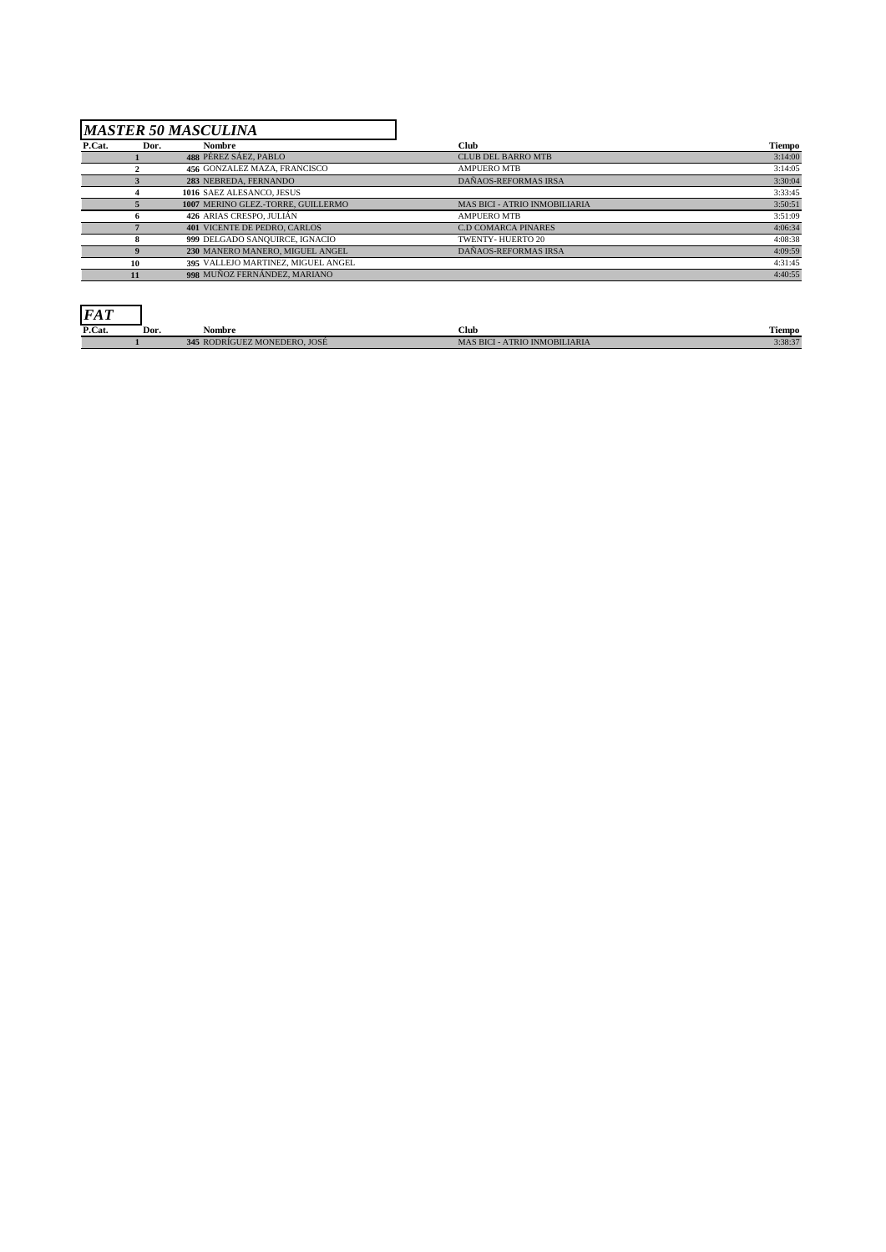## *MASTER 50 MASCULINA*

J.

| P.Cat. | Dor. | Nombre                              | <b>Club</b>                          | Tiempo  |
|--------|------|-------------------------------------|--------------------------------------|---------|
|        |      | 488 PÉREZ SÁEZ, PABLO               | <b>CLUB DEL BARRO MTB</b>            | 3:14:00 |
|        |      | 456 GONZALEZ MAZA, FRANCISCO        | <b>AMPUERO MTB</b>                   | 3:14:05 |
|        |      | 283 NEBREDA, FERNANDO               | DAÑAOS-REFORMAS IRSA                 | 3:30:04 |
|        |      | 1016 SAEZ ALESANCO, JESUS           |                                      | 3:33:45 |
|        |      | 1007 MERINO GLEZ.-TORRE, GUILLERMO  | <b>MAS BICI - ATRIO INMOBILIARIA</b> | 3:50:51 |
|        |      | 426 ARIAS CRESPO, JULIÁN            | <b>AMPUERO MTB</b>                   | 3:51:09 |
|        |      | <b>401 VICENTE DE PEDRO, CARLOS</b> | <b>C.D COMARCA PINARES</b>           | 4:06:34 |
|        |      | 999 DELGADO SANQUIRCE, IGNACIO      | TWENTY-HUERTO 20                     | 4:08:38 |
|        |      | 230 MANERO MANERO, MIGUEL ANGEL     | DAÑAOS-REFORMAS IRSA                 | 4:09:59 |
|        | 10   | 395 VALLEJO MARTINEZ. MIGUEL ANGEL  |                                      | 4:31:45 |
|        |      | 998 MUÑOZ FERNÁNDEZ, MARIANO        |                                      | 4:40:55 |

┓

| <b>FAT</b> |      |                                   |                                            |         |
|------------|------|-----------------------------------|--------------------------------------------|---------|
| P.Cat.     | Dor. | --<br>Nombre                      | Club                                       | Tiempo  |
|            |      | 345<br>; RODRÍGUEZ MONEDERO. JOSÉ | <b>MAS BICI</b><br>CI - ATRIO INMOBILIARIA | 3:38:37 |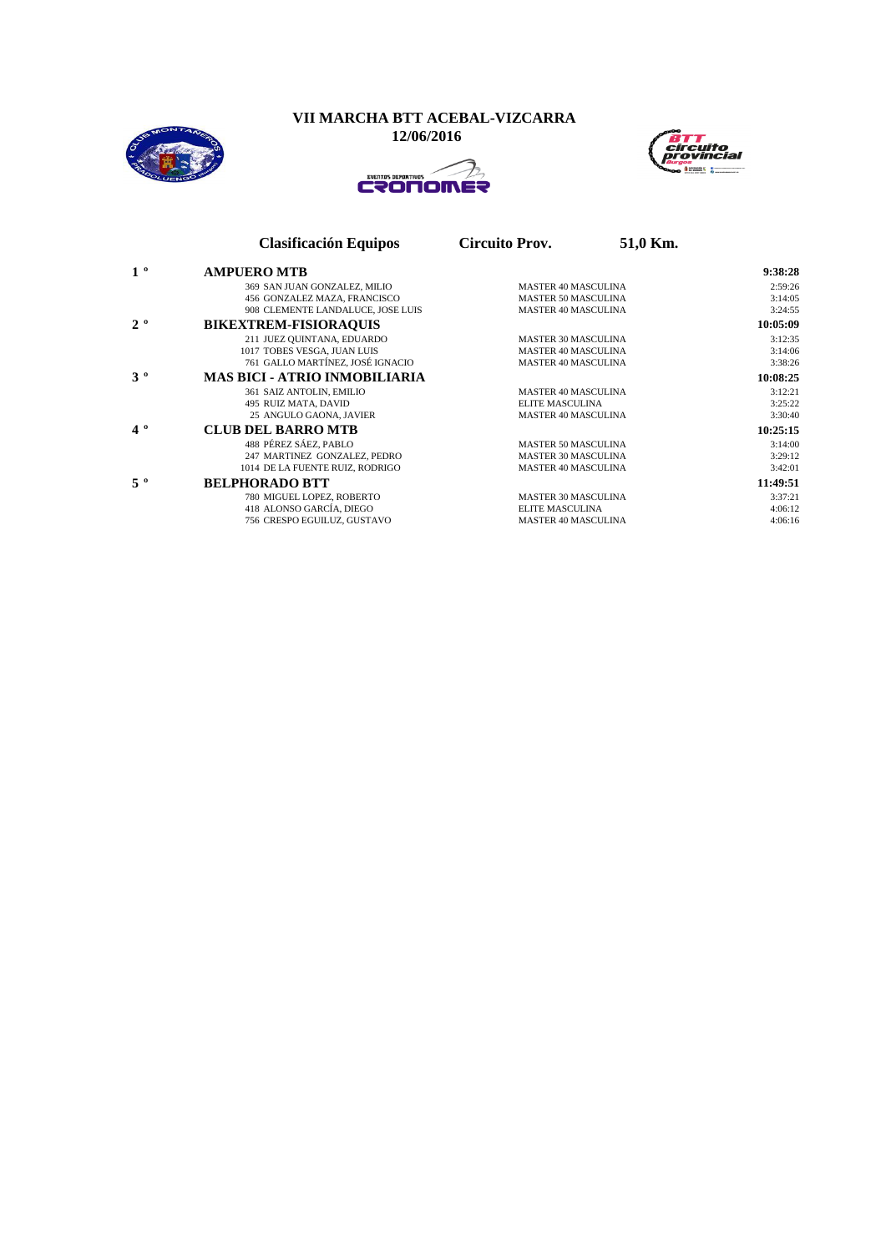**VII MARCHA BTT ACEBAL-VIZCARRA**

 **12/06/2016**





|                | <b>Clasificación Equipos</b>         | <b>Circuito Prov.</b>      | 51,0 Km. |          |
|----------------|--------------------------------------|----------------------------|----------|----------|
| 1 <sup>o</sup> | <b>AMPUERO MTB</b>                   |                            |          | 9:38:28  |
|                | 369 SAN JUAN GONZALEZ, MILIO         | <b>MASTER 40 MASCULINA</b> |          | 2:59:26  |
|                | 456 GONZALEZ MAZA, FRANCISCO         | <b>MASTER 50 MASCULINA</b> |          | 3:14:05  |
|                | 908 CLEMENTE LANDALUCE, JOSE LUIS    | <b>MASTER 40 MASCULINA</b> |          | 3:24:55  |
| $2^o$          | <b>BIKEXTREM-FISIORAQUIS</b>         |                            |          | 10:05:09 |
|                | 211 JUEZ QUINTANA, EDUARDO           | <b>MASTER 30 MASCULINA</b> |          | 3:12:35  |
|                | 1017 TOBES VESGA, JUAN LUIS          | <b>MASTER 40 MASCULINA</b> |          | 3:14:06  |
|                | 761 GALLO MARTÍNEZ, JOSÉ IGNACIO     | <b>MASTER 40 MASCULINA</b> |          | 3:38:26  |
| $3^o$          | <b>MAS BICI - ATRIO INMOBILIARIA</b> |                            |          | 10:08:25 |
|                | 361 SAIZ ANTOLIN, EMILIO             | <b>MASTER 40 MASCULINA</b> |          | 3:12:21  |
|                | 495 RUIZ MATA, DAVID                 | <b>ELITE MASCULINA</b>     |          | 3:25:22  |
|                | 25 ANGULO GAONA, JAVIER              | <b>MASTER 40 MASCULINA</b> |          | 3:30:40  |
| $4^{\circ}$    | <b>CLUB DEL BARRO MTB</b>            |                            |          | 10:25:15 |
|                | 488 PÉREZ SÁEZ. PABLO                | <b>MASTER 50 MASCULINA</b> |          | 3:14:00  |
|                | 247 MARTINEZ GONZALEZ, PEDRO         | <b>MASTER 30 MASCULINA</b> |          | 3:29:12  |
|                | 1014 DE LA FUENTE RUIZ, RODRIGO      | <b>MASTER 40 MASCULINA</b> |          | 3:42:01  |
| $5^{\circ}$    | <b>BELPHORADO BTT</b>                |                            |          | 11:49:51 |
|                | 780 MIGUEL LOPEZ, ROBERTO            | <b>MASTER 30 MASCULINA</b> |          | 3:37:21  |
|                | 418 ALONSO GARCÍA, DIEGO             | <b>ELITE MASCULINA</b>     |          | 4:06:12  |
|                | 756 CRESPO EGUILUZ, GUSTAVO          | <b>MASTER 40 MASCULINA</b> |          | 4:06:16  |
|                |                                      |                            |          |          |